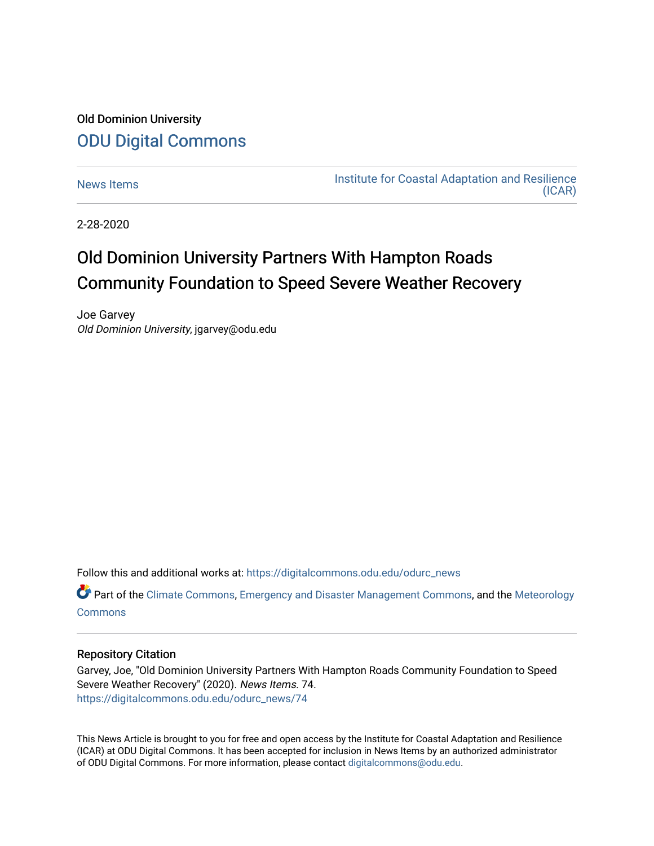## Old Dominion University [ODU Digital Commons](https://digitalcommons.odu.edu/)

[News Items](https://digitalcommons.odu.edu/odurc_news) **Institute for Coastal Adaptation and Resilience** [\(ICAR\)](https://digitalcommons.odu.edu/odurc) 

2-28-2020

## Old Dominion University Partners With Hampton Roads Community Foundation to Speed Severe Weather Recovery

Joe Garvey Old Dominion University, jgarvey@odu.edu

Follow this and additional works at: [https://digitalcommons.odu.edu/odurc\\_news](https://digitalcommons.odu.edu/odurc_news?utm_source=digitalcommons.odu.edu%2Fodurc_news%2F74&utm_medium=PDF&utm_campaign=PDFCoverPages)

 $\bullet$  Part of the [Climate Commons,](http://network.bepress.com/hgg/discipline/188?utm_source=digitalcommons.odu.edu%2Fodurc_news%2F74&utm_medium=PDF&utm_campaign=PDFCoverPages) [Emergency and Disaster Management Commons](http://network.bepress.com/hgg/discipline/1321?utm_source=digitalcommons.odu.edu%2Fodurc_news%2F74&utm_medium=PDF&utm_campaign=PDFCoverPages), and the Meteorology **[Commons](http://network.bepress.com/hgg/discipline/190?utm_source=digitalcommons.odu.edu%2Fodurc_news%2F74&utm_medium=PDF&utm_campaign=PDFCoverPages)** 

## Repository Citation

Garvey, Joe, "Old Dominion University Partners With Hampton Roads Community Foundation to Speed Severe Weather Recovery" (2020). News Items. 74. [https://digitalcommons.odu.edu/odurc\\_news/74](https://digitalcommons.odu.edu/odurc_news/74?utm_source=digitalcommons.odu.edu%2Fodurc_news%2F74&utm_medium=PDF&utm_campaign=PDFCoverPages) 

This News Article is brought to you for free and open access by the Institute for Coastal Adaptation and Resilience (ICAR) at ODU Digital Commons. It has been accepted for inclusion in News Items by an authorized administrator of ODU Digital Commons. For more information, please contact [digitalcommons@odu.edu](mailto:digitalcommons@odu.edu).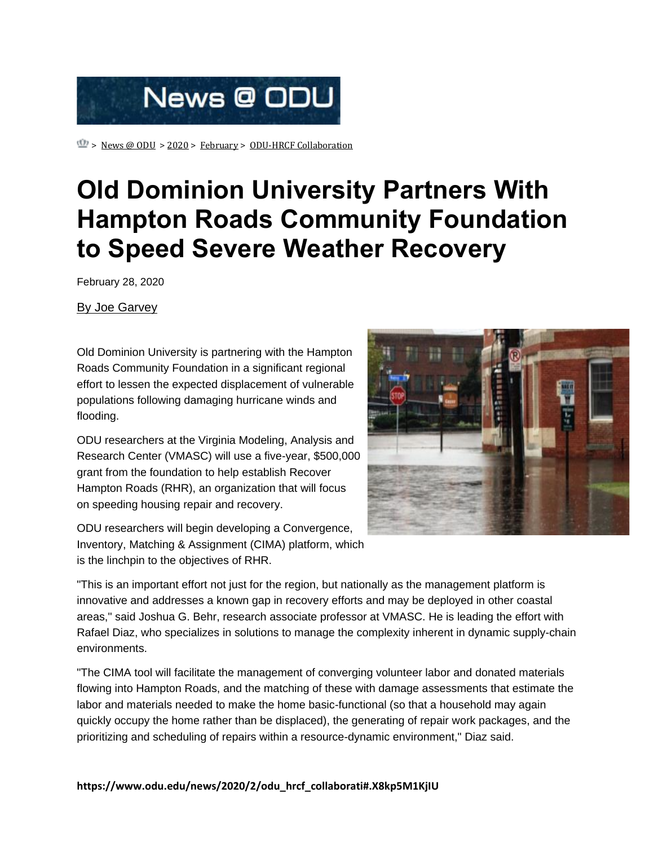

 $\frac{dy}{dx}$  > [News @ ODU](https://www.odu.edu/news) > [2020](https://www.odu.edu/news/2020) > [February](https://www.odu.edu/news/2020/2) > [ODU-HRCF Collaboration](https://www.odu.edu/news/2020/2/odu_hrcf_collaborati)

## **Old Dominion University Partners With Hampton Roads Community Foundation to Speed Severe Weather Recovery**

February 28, 2020

[By Joe Garvey](mailto:jgarvey@odu.edu)

Old Dominion University is partnering with the Hampton Roads Community Foundation in a significant regional effort to lessen the expected displacement of vulnerable populations following damaging hurricane winds and flooding.

ODU researchers at the Virginia Modeling, Analysis and Research Center (VMASC) will use a five-year, \$500,000 grant from the foundation to help establish Recover Hampton Roads (RHR), an organization that will focus on speeding housing repair and recovery.

ODU researchers will begin developing a Convergence, Inventory, Matching & Assignment (CIMA) platform, which is the linchpin to the objectives of RHR.



"This is an important effort not just for the region, but nationally as the management platform is innovative and addresses a known gap in recovery efforts and may be deployed in other coastal areas," said Joshua G. Behr, research associate professor at VMASC. He is leading the effort with Rafael Diaz, who specializes in solutions to manage the complexity inherent in dynamic supply-chain environments.

"The CIMA tool will facilitate the management of converging volunteer labor and donated materials flowing into Hampton Roads, and the matching of these with damage assessments that estimate the labor and materials needed to make the home basic-functional (so that a household may again quickly occupy the home rather than be displaced), the generating of repair work packages, and the prioritizing and scheduling of repairs within a resource-dynamic environment," Diaz said.

**https://www.odu.edu/news/2020/2/odu\_hrcf\_collaborati#.X8kp5M1KjIU**